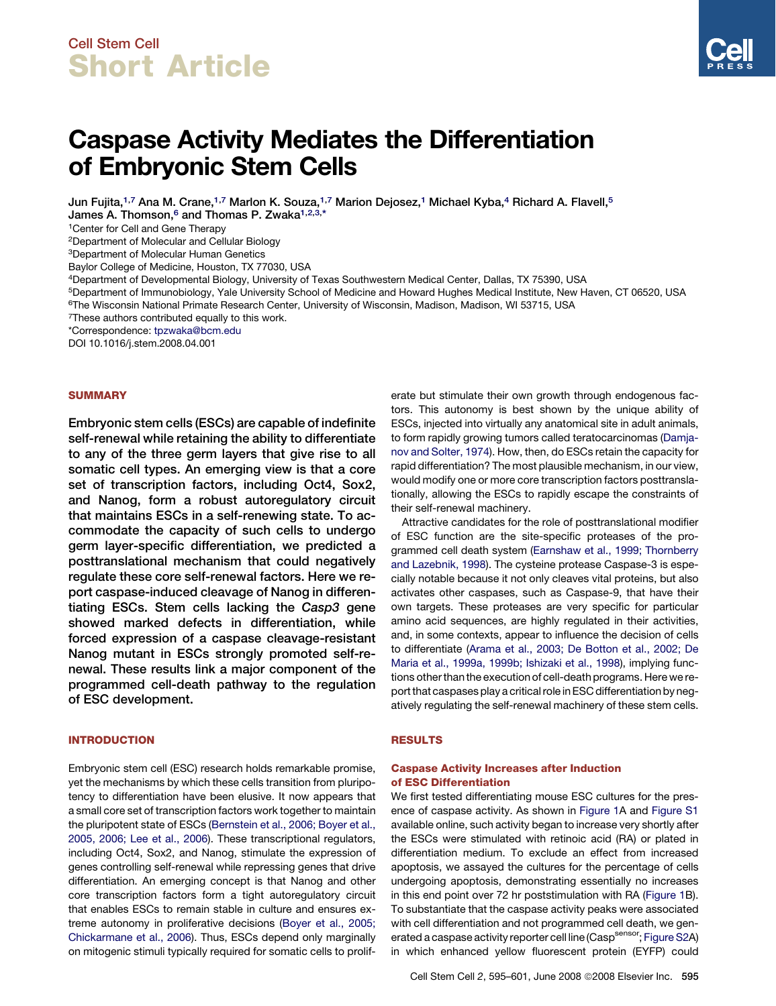## Cell Stem Cell Short Article

# Caspase Activity Mediates the Differentiation of Embryonic Stem Cells

Jun Fujita,<sup>1,7</sup> Ana M. Crane,<sup>1,7</sup> Marlon K. Souza,<sup>1,7</sup> Marion Dejosez,<sup>1</sup> Michael Kyba,<sup>4</sup> Richard A. Flavell,<sup>5</sup> James A. Thomson, $^6$  and Thomas P. Zwaka $^{1,2,3,\ast}$ 

1Center for Cell and Gene Therapy

2Department of Molecular and Cellular Biology

3Department of Molecular Human Genetics

Baylor College of Medicine, Houston, TX 77030, USA

4Department of Developmental Biology, University of Texas Southwestern Medical Center, Dallas, TX 75390, USA

5Department of Immunobiology, Yale University School of Medicine and Howard Hughes Medical Institute, New Haven, CT 06520, USA

6The Wisconsin National Primate Research Center, University of Wisconsin, Madison, Madison, WI 53715, USA

<sup>7</sup>These authors contributed equally to this work.

\*Correspondence: [tpzwaka@bcm.edu](mailto:tpzwaka@bcm.edu)

DOI 10.1016/j.stem.2008.04.001

## **SUMMARY**

Embryonic stem cells (ESCs) are capable of indefinite self-renewal while retaining the ability to differentiate to any of the three germ layers that give rise to all somatic cell types. An emerging view is that a core set of transcription factors, including Oct4, Sox2, and Nanog, form a robust autoregulatory circuit that maintains ESCs in a self-renewing state. To accommodate the capacity of such cells to undergo germ layer-specific differentiation, we predicted a posttranslational mechanism that could negatively regulate these core self-renewal factors. Here we report caspase-induced cleavage of Nanog in differentiating ESCs. Stem cells lacking the Casp3 gene showed marked defects in differentiation, while forced expression of a caspase cleavage-resistant Nanog mutant in ESCs strongly promoted self-renewal. These results link a major component of the programmed cell-death pathway to the regulation of ESC development.

#### INTRODUCTION

Embryonic stem cell (ESC) research holds remarkable promise, yet the mechanisms by which these cells transition from pluripotency to differentiation have been elusive. It now appears that a small core set of transcription factors work together to maintain the pluripotent state of ESCs ([Bernstein et al., 2006; Boyer et al.,](#page-6-0) [2005, 2006; Lee et al., 2006\)](#page-6-0). These transcriptional regulators, including Oct4, Sox2, and Nanog, stimulate the expression of genes controlling self-renewal while repressing genes that drive differentiation. An emerging concept is that Nanog and other core transcription factors form a tight autoregulatory circuit that enables ESCs to remain stable in culture and ensures extreme autonomy in proliferative decisions ([Boyer et al., 2005;](#page-6-0) [Chickarmane et al., 2006\)](#page-6-0). Thus, ESCs depend only marginally on mitogenic stimuli typically required for somatic cells to proliferate but stimulate their own growth through endogenous factors. This autonomy is best shown by the unique ability of ESCs, injected into virtually any anatomical site in adult animals, to form rapidly growing tumors called teratocarcinomas ([Damja](#page-6-0)[nov and Solter, 1974](#page-6-0)). How, then, do ESCs retain the capacity for rapid differentiation? The most plausible mechanism, in our view, would modify one or more core transcription factors posttranslationally, allowing the ESCs to rapidly escape the constraints of their self-renewal machinery.

Attractive candidates for the role of posttranslational modifier of ESC function are the site-specific proteases of the programmed cell death system ([Earnshaw et al., 1999; Thornberry](#page-6-0) [and Lazebnik, 1998\)](#page-6-0). The cysteine protease Caspase-3 is especially notable because it not only cleaves vital proteins, but also activates other caspases, such as Caspase-9, that have their own targets. These proteases are very specific for particular amino acid sequences, are highly regulated in their activities, and, in some contexts, appear to influence the decision of cells to differentiate ([Arama et al., 2003; De Botton et al., 2002; De](#page-6-0) [Maria et al., 1999a, 1999b; Ishizaki et al., 1998](#page-6-0)), implying functions other than the execution of cell-death programs. Here we report that caspases play a critical role in ESC differentiation by negatively regulating the self-renewal machinery of these stem cells.

#### RESULTS

## Caspase Activity Increases after Induction of ESC Differentiation

We first tested differentiating mouse ESC cultures for the presence of caspase activity. As shown in [Figure 1A](#page-1-0) and [Figure S1](#page-5-0) available online, such activity began to increase very shortly after the ESCs were stimulated with retinoic acid (RA) or plated in differentiation medium. To exclude an effect from increased apoptosis, we assayed the cultures for the percentage of cells undergoing apoptosis, demonstrating essentially no increases in this end point over 72 hr poststimulation with RA [\(Figure 1B](#page-1-0)). To substantiate that the caspase activity peaks were associated with cell differentiation and not programmed cell death, we gen-erated a caspase activity reporter cell line (Casp<sup>sensor</sup>; [Figure S2A](#page-5-0)) in which enhanced yellow fluorescent protein (EYFP) could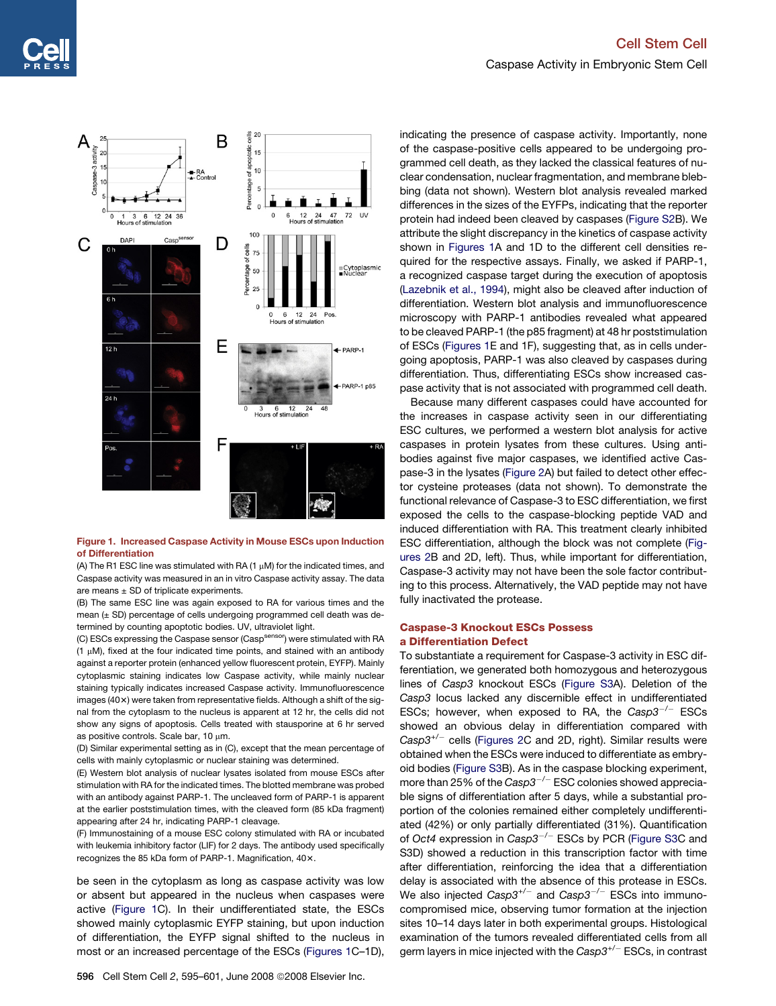<span id="page-1-0"></span>

#### Figure 1. Increased Caspase Activity in Mouse ESCs upon Induction of Differentiation

(A) The R1 ESC line was stimulated with RA  $(1 \mu M)$  for the indicated times, and Caspase activity was measured in an in vitro Caspase activity assay. The data are means  $\pm$  SD of triplicate experiments.

(B) The same ESC line was again exposed to RA for various times and the mean (± SD) percentage of cells undergoing programmed cell death was determined by counting apoptotic bodies. UV, ultraviolet light.

(C) ESCs expressing the Caspase sensor (Casp<sup>sensor</sup>) were stimulated with RA (1 mM), fixed at the four indicated time points, and stained with an antibody against a reporter protein (enhanced yellow fluorescent protein, EYFP). Mainly cytoplasmic staining indicates low Caspase activity, while mainly nuclear staining typically indicates increased Caspase activity. Immunofluorescence images (40x) were taken from representative fields. Although a shift of the signal from the cytoplasm to the nucleus is apparent at 12 hr, the cells did not show any signs of apoptosis. Cells treated with stausporine at 6 hr served as positive controls. Scale bar, 10  $\mu$ m.

(D) Similar experimental setting as in (C), except that the mean percentage of cells with mainly cytoplasmic or nuclear staining was determined.

(E) Western blot analysis of nuclear lysates isolated from mouse ESCs after stimulation with RA for the indicated times. The blotted membrane was probed with an antibody against PARP-1. The uncleaved form of PARP-1 is apparent at the earlier poststimulation times, with the cleaved form (85 kDa fragment) appearing after 24 hr, indicating PARP-1 cleavage.

(F) Immunostaining of a mouse ESC colony stimulated with RA or incubated with leukemia inhibitory factor (LIF) for 2 days. The antibody used specifically recognizes the 85 kDa form of PARP-1. Magnification, 40x.

be seen in the cytoplasm as long as caspase activity was low or absent but appeared in the nucleus when caspases were active (Figure 1C). In their undifferentiated state, the ESCs showed mainly cytoplasmic EYFP staining, but upon induction of differentiation, the EYFP signal shifted to the nucleus in most or an increased percentage of the ESCs (Figures 1C–1D),

596 Cell Stem Cell 2, 595-601, June 2008 © 2008 Elsevier Inc.

indicating the presence of caspase activity. Importantly, none of the caspase-positive cells appeared to be undergoing programmed cell death, as they lacked the classical features of nuclear condensation, nuclear fragmentation, and membrane blebbing (data not shown). Western blot analysis revealed marked differences in the sizes of the EYFPs, indicating that the reporter protein had indeed been cleaved by caspases ([Figure S2B](#page-5-0)). We attribute the slight discrepancy in the kinetics of caspase activity shown in Figures 1A and 1D to the different cell densities required for the respective assays. Finally, we asked if PARP-1, a recognized caspase target during the execution of apoptosis [\(Lazebnik et al., 1994\)](#page-6-0), might also be cleaved after induction of differentiation. Western blot analysis and immunofluorescence microscopy with PARP-1 antibodies revealed what appeared to be cleaved PARP-1 (the p85 fragment) at 48 hr poststimulation of ESCs (Figures 1E and 1F), suggesting that, as in cells undergoing apoptosis, PARP-1 was also cleaved by caspases during differentiation. Thus, differentiating ESCs show increased caspase activity that is not associated with programmed cell death.

Because many different caspases could have accounted for the increases in caspase activity seen in our differentiating ESC cultures, we performed a western blot analysis for active caspases in protein lysates from these cultures. Using antibodies against five major caspases, we identified active Caspase-3 in the lysates ([Figure 2](#page-2-0)A) but failed to detect other effector cysteine proteases (data not shown). To demonstrate the functional relevance of Caspase-3 to ESC differentiation, we first exposed the cells to the caspase-blocking peptide VAD and induced differentiation with RA. This treatment clearly inhibited ESC differentiation, although the block was not complete [\(Fig](#page-2-0)[ures 2B](#page-2-0) and 2D, left). Thus, while important for differentiation, Caspase-3 activity may not have been the sole factor contributing to this process. Alternatively, the VAD peptide may not have fully inactivated the protease.

## Caspase-3 Knockout ESCs Possess a Differentiation Defect

To substantiate a requirement for Caspase-3 activity in ESC differentiation, we generated both homozygous and heterozygous lines of *Casp3* knockout ESCs ([Figure S3A](#page-5-0)). Deletion of the *Casp3* locus lacked any discernible effect in undifferentiated ESCs; however, when exposed to RA, the *Casp3*-*/*- ESCs showed an obvious delay in differentiation compared with *Casp3+/*- cells ([Figures 2](#page-2-0)C and 2D, right). Similar results were obtained when the ESCs were induced to differentiate as embryoid bodies [\(Figure S3](#page-5-0)B). As in the caspase blocking experiment, more than 25% of the *Casp3*-*/*- ESC colonies showed appreciable signs of differentiation after 5 days, while a substantial proportion of the colonies remained either completely undifferentiated (42%) or only partially differentiated (31%). Quantification of *Oct4* expression in *Casp3*-*/*- ESCs by PCR ([Figure S3](#page-5-0)C and S3D) showed a reduction in this transcription factor with time after differentiation, reinforcing the idea that a differentiation delay is associated with the absence of this protease in ESCs. We also injected  $Casp3^{+/-}$  and  $Casp3^{-/-}$  ESCs into immunocompromised mice, observing tumor formation at the injection sites 10–14 days later in both experimental groups. Histological examination of the tumors revealed differentiated cells from all germ layers in mice injected with the *Casp3+/*- ESCs, in contrast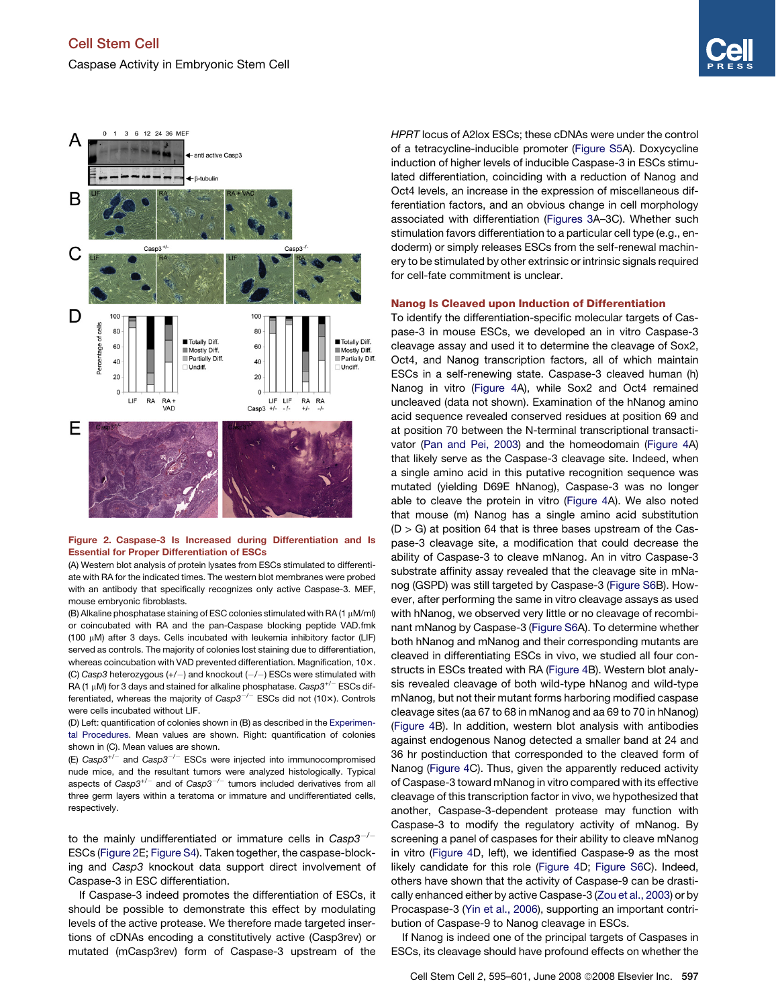<span id="page-2-0"></span>

#### Figure 2. Caspase-3 Is Increased during Differentiation and Is Essential for Proper Differentiation of ESCs

(A) Western blot analysis of protein lysates from ESCs stimulated to differentiate with RA for the indicated times. The western blot membranes were probed with an antibody that specifically recognizes only active Caspase-3. MEF, mouse embryonic fibroblasts.

(B) Alkaline phosphatase staining of ESC colonies stimulated with RA (1  $\mu$ M/ml) or coincubated with RA and the pan-Caspase blocking peptide VAD.fmk (100 mM) after 3 days. Cells incubated with leukemia inhibitory factor (LIF) served as controls. The majority of colonies lost staining due to differentiation, whereas coincubation with VAD prevented differentiation. Magnification, 10x. (C) Casp3 heterozygous (+/-) and knockout (-/-) ESCs were stimulated with RA (1 μM) for 3 days and stained for alkaline phosphatase. *Casp3<sup>+/-</sup>* ESCs differentiated, whereas the majority of *Casp3<sup>-/-</sup>* ESCs did not (10×). Controls were cells incubated without LIF.

(D) Left: quantification of colonies shown in (B) as described in the [Experimen](#page-5-0)[tal Procedures](#page-5-0). Mean values are shown. Right: quantification of colonies shown in (C). Mean values are shown.

(E) *Casp3+/*- and *Casp3*-*/*- ESCs were injected into immunocompromised nude mice, and the resultant tumors were analyzed histologically. Typical aspects of *Casp3+/*- and of *Casp3*-*/*- tumors included derivatives from all three germ layers within a teratoma or immature and undifferentiated cells, respectively.

to the mainly undifferentiated or immature cells in *Casp3*-*/*- ESCs (Figure 2E; [Figure S4\)](#page-5-0). Taken together, the caspase-blocking and *Casp3* knockout data support direct involvement of Caspase-3 in ESC differentiation.

If Caspase-3 indeed promotes the differentiation of ESCs, it should be possible to demonstrate this effect by modulating levels of the active protease. We therefore made targeted insertions of cDNAs encoding a constitutively active (Casp3rev) or mutated (mCasp3rev) form of Caspase-3 upstream of the *HPRT* locus of A2lox ESCs; these cDNAs were under the control of a tetracycline-inducible promoter [\(Figure S5](#page-5-0)A). Doxycycline induction of higher levels of inducible Caspase-3 in ESCs stimulated differentiation, coinciding with a reduction of Nanog and Oct4 levels, an increase in the expression of miscellaneous differentiation factors, and an obvious change in cell morphology associated with differentiation [\(Figures 3](#page-3-0)A–3C). Whether such stimulation favors differentiation to a particular cell type (e.g., endoderm) or simply releases ESCs from the self-renewal machinery to be stimulated by other extrinsic or intrinsic signals required for cell-fate commitment is unclear.

#### Nanog Is Cleaved upon Induction of Differentiation

To identify the differentiation-specific molecular targets of Caspase-3 in mouse ESCs, we developed an in vitro Caspase-3 cleavage assay and used it to determine the cleavage of Sox2, Oct4, and Nanog transcription factors, all of which maintain ESCs in a self-renewing state. Caspase-3 cleaved human (h) Nanog in vitro ([Figure 4](#page-4-0)A), while Sox2 and Oct4 remained uncleaved (data not shown). Examination of the hNanog amino acid sequence revealed conserved residues at position 69 and at position 70 between the N-terminal transcriptional transactivator [\(Pan and Pei, 2003\)](#page-6-0) and the homeodomain [\(Figure 4A](#page-4-0)) that likely serve as the Caspase-3 cleavage site. Indeed, when a single amino acid in this putative recognition sequence was mutated (yielding D69E hNanog), Caspase-3 was no longer able to cleave the protein in vitro ([Figure 4A](#page-4-0)). We also noted that mouse (m) Nanog has a single amino acid substitution  $(D > G)$  at position 64 that is three bases upstream of the Caspase-3 cleavage site, a modification that could decrease the ability of Caspase-3 to cleave mNanog. An in vitro Caspase-3 substrate affinity assay revealed that the cleavage site in mNanog (GSPD) was still targeted by Caspase-3 ([Figure S6](#page-5-0)B). However, after performing the same in vitro cleavage assays as used with hNanog, we observed very little or no cleavage of recombinant mNanog by Caspase-3 ([Figure S6](#page-5-0)A). To determine whether both hNanog and mNanog and their corresponding mutants are cleaved in differentiating ESCs in vivo, we studied all four constructs in ESCs treated with RA ([Figure 4](#page-4-0)B). Western blot analysis revealed cleavage of both wild-type hNanog and wild-type mNanog, but not their mutant forms harboring modified caspase cleavage sites (aa 67 to 68 in mNanog and aa 69 to 70 in hNanog) [\(Figure 4](#page-4-0)B). In addition, western blot analysis with antibodies against endogenous Nanog detected a smaller band at 24 and 36 hr postinduction that corresponded to the cleaved form of Nanog [\(Figure 4](#page-4-0)C). Thus, given the apparently reduced activity of Caspase-3 toward mNanog in vitro compared with its effective cleavage of this transcription factor in vivo, we hypothesized that another, Caspase-3-dependent protease may function with Caspase-3 to modify the regulatory activity of mNanog. By screening a panel of caspases for their ability to cleave mNanog in vitro [\(Figure 4D](#page-4-0), left), we identified Caspase-9 as the most likely candidate for this role ([Figure 4D](#page-4-0); [Figure S6](#page-5-0)C). Indeed, others have shown that the activity of Caspase-9 can be drastically enhanced either by active Caspase-3 [\(Zou et al., 2003](#page-6-0)) or by Procaspase-3 ([Yin et al., 2006](#page-6-0)), supporting an important contribution of Caspase-9 to Nanog cleavage in ESCs.

If Nanog is indeed one of the principal targets of Caspases in ESCs, its cleavage should have profound effects on whether the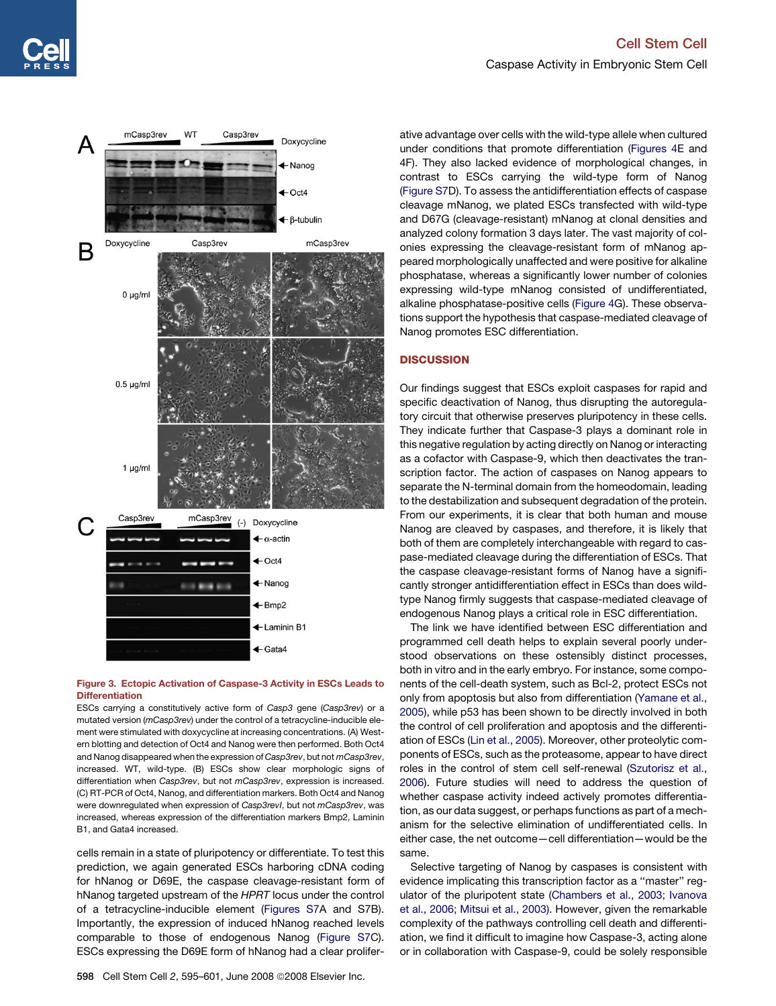<span id="page-3-0"></span>

## Figure 3. Ectopic Activation of Caspase-3 Activity in ESCs Leads to **Differentiation**

ESCs carrying a constitutively active form of *Casp3* gene (*Casp3rev*) or a mutated version (*mCasp3rev*) under the control of a tetracycline-inducible element were stimulated with doxycycline at increasing concentrations. (A) Western blotting and detection of Oct4 and Nanog were then performed. Both Oct4 and Nanog disappeared when the expression of *Casp3rev*, but not *mCasp3rev*, increased. WT, wild-type. (B) ESCs show clear morphologic signs of differentiation when *Casp3rev*, but not *mCasp3rev*, expression is increased. (C) RT-PCR of Oct4, Nanog, and differentiation markers. Both Oct4 and Nanog were downregulated when expression of *Casp3revI*, but not *mCasp3rev*, was increased, whereas expression of the differentiation markers Bmp2, Laminin B1, and Gata4 increased.

cells remain in a state of pluripotency or differentiate. To test this prediction, we again generated ESCs harboring cDNA coding for hNanog or D69E, the caspase cleavage-resistant form of hNanog targeted upstream of the *HPRT* locus under the control of a tetracycline-inducible element [\(Figures S7](#page-5-0)A and S7B). Importantly, the expression of induced hNanog reached levels comparable to those of endogenous Nanog ([Figure S7](#page-5-0)C). ESCs expressing the D69E form of hNanog had a clear prolifer-

ative advantage over cells with the wild-type allele when cultured under conditions that promote differentiation ([Figures 4E](#page-4-0) and 4F). They also lacked evidence of morphological changes, in contrast to ESCs carrying the wild-type form of Nanog [\(Figure S7D](#page-5-0)). To assess the antidifferentiation effects of caspase cleavage mNanog, we plated ESCs transfected with wild-type and D67G (cleavage-resistant) mNanog at clonal densities and analyzed colony formation 3 days later. The vast majority of colonies expressing the cleavage-resistant form of mNanog appeared morphologically unaffected and were positive for alkaline phosphatase, whereas a significantly lower number of colonies expressing wild-type mNanog consisted of undifferentiated, alkaline phosphatase-positive cells [\(Figure 4G](#page-4-0)). These observations support the hypothesis that caspase-mediated cleavage of Nanog promotes ESC differentiation.

## **DISCUSSION**

Our findings suggest that ESCs exploit caspases for rapid and specific deactivation of Nanog, thus disrupting the autoregulatory circuit that otherwise preserves pluripotency in these cells. They indicate further that Caspase-3 plays a dominant role in this negative regulation by acting directly on Nanog or interacting as a cofactor with Caspase-9, which then deactivates the transcription factor. The action of caspases on Nanog appears to separate the N-terminal domain from the homeodomain, leading to the destabilization and subsequent degradation of the protein. From our experiments, it is clear that both human and mouse Nanog are cleaved by caspases, and therefore, it is likely that both of them are completely interchangeable with regard to caspase-mediated cleavage during the differentiation of ESCs. That the caspase cleavage-resistant forms of Nanog have a significantly stronger antidifferentiation effect in ESCs than does wildtype Nanog firmly suggests that caspase-mediated cleavage of endogenous Nanog plays a critical role in ESC differentiation.

The link we have identified between ESC differentiation and programmed cell death helps to explain several poorly understood observations on these ostensibly distinct processes, both in vitro and in the early embryo. For instance, some components of the cell-death system, such as Bcl-2, protect ESCs not only from apoptosis but also from differentiation ([Yamane et al.,](#page-6-0) [2005\)](#page-6-0), while p53 has been shown to be directly involved in both the control of cell proliferation and apoptosis and the differentiation of ESCs ([Lin et al., 2005\)](#page-6-0). Moreover, other proteolytic components of ESCs, such as the proteasome, appear to have direct roles in the control of stem cell self-renewal ([Szutorisz et al.,](#page-6-0) [2006\)](#page-6-0). Future studies will need to address the question of whether caspase activity indeed actively promotes differentiation, as our data suggest, or perhaps functions as part of a mechanism for the selective elimination of undifferentiated cells. In either case, the net outcome—cell differentiation—would be the same.

Selective targeting of Nanog by caspases is consistent with evidence implicating this transcription factor as a ''master'' regulator of the pluripotent state [\(Chambers et al., 2003; Ivanova](#page-6-0) [et al., 2006; Mitsui et al., 2003\)](#page-6-0). However, given the remarkable complexity of the pathways controlling cell death and differentiation, we find it difficult to imagine how Caspase-3, acting alone or in collaboration with Caspase-9, could be solely responsible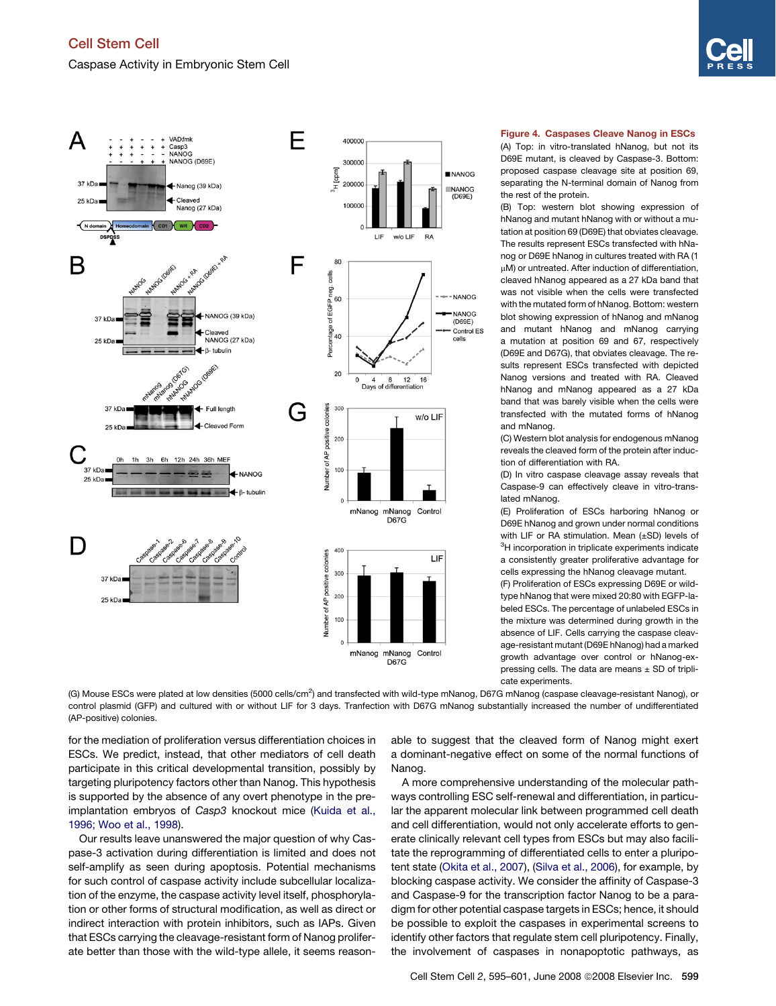

<span id="page-4-0"></span>

## Figure 4. Caspases Cleave Nanog in ESCs

(A) Top: in vitro-translated hNanog, but not its D69E mutant, is cleaved by Caspase-3. Bottom: proposed caspase cleavage site at position 69, separating the N-terminal domain of Nanog from the rest of the protein.

(B) Top: western blot showing expression of hNanog and mutant hNanog with or without a mutation at position 69 (D69E) that obviates cleavage. The results represent ESCs transfected with hNanog or D69E hNanog in cultures treated with RA (1  $\mu$ M) or untreated. After induction of differentiation, cleaved hNanog appeared as a 27 kDa band that was not visible when the cells were transfected with the mutated form of hNanog. Bottom: western blot showing expression of hNanog and mNanog and mutant hNanog and mNanog carrying a mutation at position 69 and 67, respectively (D69E and D67G), that obviates cleavage. The results represent ESCs transfected with depicted Nanog versions and treated with RA. Cleaved hNanog and mNanog appeared as a 27 kDa band that was barely visible when the cells were transfected with the mutated forms of hNanog and mNanog.

(C) Western blot analysis for endogenous mNanog reveals the cleaved form of the protein after induction of differentiation with RA.

(D) In vitro caspase cleavage assay reveals that Caspase-9 can effectively cleave in vitro-translated mNanog.

(E) Proliferation of ESCs harboring hNanog or D69E hNanog and grown under normal conditions with LIF or RA stimulation. Mean (±SD) levels of <sup>3</sup>H incorporation in triplicate experiments indicate a consistently greater proliferative advantage for cells expressing the hNanog cleavage mutant.

(F) Proliferation of ESCs expressing D69E or wildtype hNanog that were mixed 20:80 with EGFP-labeled ESCs. The percentage of unlabeled ESCs in the mixture was determined during growth in the absence of LIF. Cells carrying the caspase cleavage-resistant mutant (D69E hNanog) had a marked growth advantage over control or hNanog-expressing cells. The data are means  $\pm$  SD of triplicate experiments.

(G) Mouse ESCs were plated at low densities (5000 cells/cm<sup>2</sup>) and transfected with wild-type mNanog, D67G mNanog (caspase cleavage-resistant Nanog), or control plasmid (GFP) and cultured with or without LIF for 3 days. Tranfection with D67G mNanog substantially increased the number of undifferentiated (AP-positive) colonies.

for the mediation of proliferation versus differentiation choices in ESCs. We predict, instead, that other mediators of cell death participate in this critical developmental transition, possibly by targeting pluripotency factors other than Nanog. This hypothesis is supported by the absence of any overt phenotype in the preimplantation embryos of *Casp3* knockout mice ([Kuida et al.,](#page-6-0) [1996; Woo et al., 1998](#page-6-0)).

Our results leave unanswered the major question of why Caspase-3 activation during differentiation is limited and does not self-amplify as seen during apoptosis. Potential mechanisms for such control of caspase activity include subcellular localization of the enzyme, the caspase activity level itself, phosphorylation or other forms of structural modification, as well as direct or indirect interaction with protein inhibitors, such as IAPs. Given that ESCs carrying the cleavage-resistant form of Nanog proliferate better than those with the wild-type allele, it seems reasonable to suggest that the cleaved form of Nanog might exert a dominant-negative effect on some of the normal functions of Nanog.

A more comprehensive understanding of the molecular pathways controlling ESC self-renewal and differentiation, in particular the apparent molecular link between programmed cell death and cell differentiation, would not only accelerate efforts to generate clinically relevant cell types from ESCs but may also facilitate the reprogramming of differentiated cells to enter a pluripotent state ([Okita et al., 2007\)](#page-6-0), [\(Silva et al., 2006](#page-6-0)), for example, by blocking caspase activity. We consider the affinity of Caspase-3 and Caspase-9 for the transcription factor Nanog to be a paradigm for other potential caspase targets in ESCs; hence, it should be possible to exploit the caspases in experimental screens to identify other factors that regulate stem cell pluripotency. Finally, the involvement of caspases in nonapoptotic pathways, as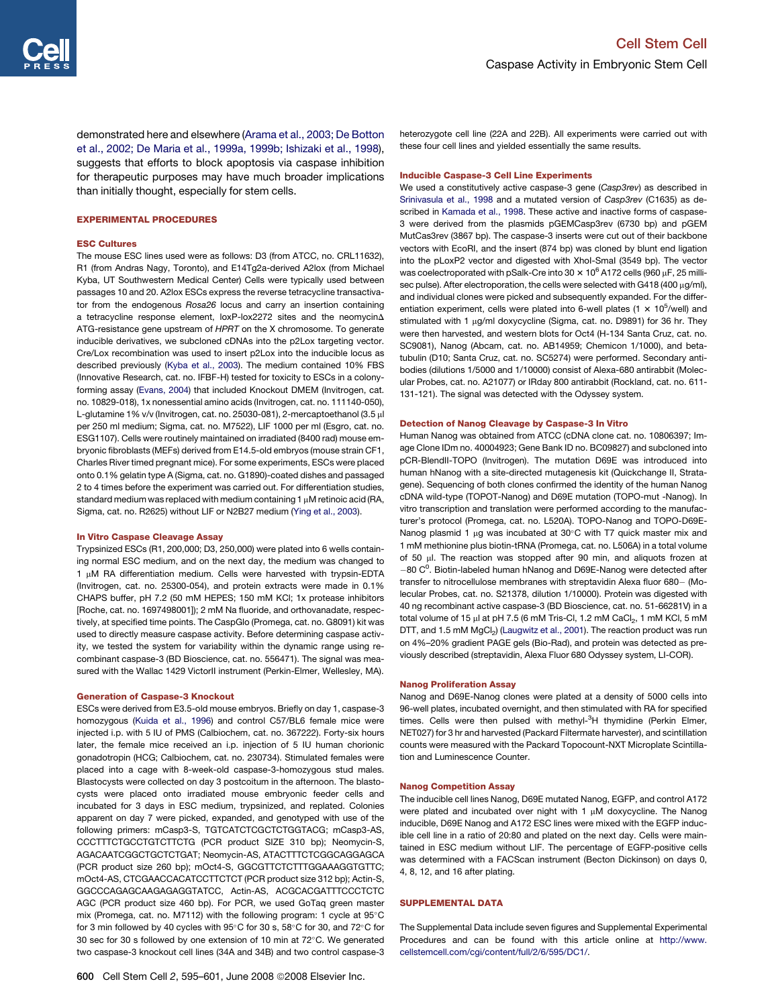<span id="page-5-0"></span>demonstrated here and elsewhere [\(Arama et al., 2003; De Botton](#page-6-0) [et al., 2002; De Maria et al., 1999a, 1999b; Ishizaki et al., 1998](#page-6-0)), suggests that efforts to block apoptosis via caspase inhibition for therapeutic purposes may have much broader implications than initially thought, especially for stem cells.

#### EXPERIMENTAL PROCEDURES

#### ESC Cultures

The mouse ESC lines used were as follows: D3 (from ATCC, no. CRL11632), R1 (from Andras Nagy, Toronto), and E14Tg2a-derived A2lox (from Michael Kyba, UT Southwestern Medical Center) Cells were typically used between passages 10 and 20. A2lox ESCs express the reverse tetracycline transactivator from the endogenous *Rosa26* locus and carry an insertion containing a tetracycline response element,  $loxP$ -lox2272 sites and the neomycin $\Delta$ ATG-resistance gene upstream of *HPRT* on the X chromosome. To generate inducible derivatives, we subcloned cDNAs into the p2Lox targeting vector. Cre/Lox recombination was used to insert p2Lox into the inducible locus as described previously ([Kyba et al., 2003](#page-6-0)). The medium contained 10% FBS (Innovative Research, cat. no. IFBF-H) tested for toxicity to ESCs in a colonyforming assay ([Evans, 2004\)](#page-6-0) that included Knockout DMEM (Invitrogen, cat. no. 10829-018), 1x nonessential amino acids (Invitrogen, cat. no. 111140-050), L-glutamine 1% v/v (Invitrogen, cat. no. 25030-081), 2-mercaptoethanol (3.5 µl per 250 ml medium; Sigma, cat. no. M7522), LIF 1000 per ml (Esgro, cat. no. ESG1107). Cells were routinely maintained on irradiated (8400 rad) mouse embryonic fibroblasts (MEFs) derived from E14.5-old embryos (mouse strain CF1, Charles River timed pregnant mice). For some experiments, ESCs were placed onto 0.1% gelatin type A (Sigma, cat. no. G1890)-coated dishes and passaged 2 to 4 times before the experiment was carried out. For differentiation studies, standard medium was replaced with medium containing 1  $\mu$ M retinoic acid (RA, Sigma, cat. no. R2625) without LIF or N2B27 medium [\(Ying et al., 2003\)](#page-6-0).

#### In Vitro Caspase Cleavage Assay

Trypsinized ESCs (R1, 200,000; D3, 250,000) were plated into 6 wells containing normal ESC medium, and on the next day, the medium was changed to 1 µM RA differentiation medium. Cells were harvested with trypsin-EDTA (Invitrogen, cat. no. 25300-054), and protein extracts were made in 0.1% CHAPS buffer, pH 7.2 (50 mM HEPES; 150 mM KCl; 1x protease inhibitors [Roche, cat. no. 1697498001]); 2 mM Na fluoride, and orthovanadate, respectively, at specified time points. The CaspGlo (Promega, cat. no. G8091) kit was used to directly measure caspase activity. Before determining caspase activity, we tested the system for variability within the dynamic range using recombinant caspase-3 (BD Bioscience, cat. no. 556471). The signal was measured with the Wallac 1429 VictorII instrument (Perkin-Elmer, Wellesley, MA).

#### Generation of Caspase-3 Knockout

ESCs were derived from E3.5-old mouse embryos. Briefly on day 1, caspase-3 homozygous [\(Kuida et al., 1996](#page-6-0)) and control C57/BL6 female mice were injected i.p. with 5 IU of PMS (Calbiochem, cat. no. 367222). Forty-six hours later, the female mice received an i.p. injection of 5 IU human chorionic gonadotropin (HCG; Calbiochem, cat. no. 230734). Stimulated females were placed into a cage with 8-week-old caspase-3-homozygous stud males. Blastocysts were collected on day 3 postcoitum in the afternoon. The blastocysts were placed onto irradiated mouse embryonic feeder cells and incubated for 3 days in ESC medium, trypsinized, and replated. Colonies apparent on day 7 were picked, expanded, and genotyped with use of the following primers: mCasp3-S, TGTCATCTCGCTCTGGTACG; mCasp3-AS, CCCTTTCTGCCTGTCTTCTG (PCR product SIZE 310 bp); Neomycin-S, AGACAATCGGCTGCTCTGAT; Neomycin-AS, ATACTTTCTCGGCAGGAGCA (PCR product size 260 bp); mOct4-S, GGCGTTCTCTTTGGAAAGGTGTTC; mOct4-AS, CTCGAACCACATCCTTCTCT (PCR product size 312 bp); Actin-S, GGCCCAGAGCAAGAGAGGTATCC, Actin-AS, ACGCACGATTTCCCTCTC AGC (PCR product size 460 bp). For PCR, we used GoTaq green master mix (Promega, cat. no. M7112) with the following program: 1 cycle at  $95^{\circ}$ C for 3 min followed by 40 cycles with  $95^{\circ}$ C for 30 s,  $58^{\circ}$ C for 30, and 72 $^{\circ}$ C for 30 sec for 30 s followed by one extension of 10 min at  $72^{\circ}$ C. We generated two caspase-3 knockout cell lines (34A and 34B) and two control caspase-3

heterozygote cell line (22A and 22B). All experiments were carried out with these four cell lines and yielded essentially the same results.

#### Inducible Caspase-3 Cell Line Experiments

We used a constitutively active caspase-3 gene (*Casp3rev*) as described in [Srinivasula et al., 1998](#page-6-0) and a mutated version of *Casp3rev* (C1635) as described in [Kamada et al., 1998.](#page-6-0) These active and inactive forms of caspase-3 were derived from the plasmids pGEMCasp3rev (6730 bp) and pGEM MutCas3rev (3867 bp). The caspase-3 inserts were cut out of their backbone vectors with EcoRI, and the insert (874 bp) was cloned by blunt end ligation into the pLoxP2 vector and digested with XhoI-SmaI (3549 bp). The vector was coelectroporated with pSalk-Cre into 30  $\times$  10<sup>6</sup> A172 cells (960 µF, 25 millisec pulse). After electroporation, the cells were selected with G418 (400  $\mu$ g/ml), and individual clones were picked and subsequently expanded. For the differentiation experiment, cells were plated into 6-well plates (1  $\times$  10<sup>5</sup>/well) and stimulated with 1 µg/ml doxycycline (Sigma, cat. no. D9891) for 36 hr. They were then harvested, and western blots for Oct4 (H-134 Santa Cruz, cat. no. SC9081), Nanog (Abcam, cat. no. AB14959; Chemicon 1/1000), and betatubulin (D10; Santa Cruz, cat. no. SC5274) were performed. Secondary antibodies (dilutions 1/5000 and 1/10000) consist of Alexa-680 antirabbit (Molecular Probes, cat. no. A21077) or IRday 800 antirabbit (Rockland, cat. no. 611- 131-121). The signal was detected with the Odyssey system.

#### Detection of Nanog Cleavage by Caspase-3 In Vitro

Human Nanog was obtained from ATCC (cDNA clone cat. no. 10806397; Image Clone IDm no. 40004923; Gene Bank ID no. BC09827) and subcloned into pCR-BlendII-TOPO (Invitrogen). The mutation D69E was introduced into human hNanog with a site-directed mutagenesis kit (Quickchange II, Stratagene). Sequencing of both clones confirmed the identity of the human Nanog cDNA wild-type (TOPOT-Nanog) and D69E mutation (TOPO-mut -Nanog). In vitro transcription and translation were performed according to the manufacturer's protocol (Promega, cat. no. L520A). TOPO-Nanog and TOPO-D69E-Nanog plasmid 1  $\mu$ g was incubated at 30°C with T7 quick master mix and 1 mM methionine plus biotin-tRNA (Promega, cat. no. L506A) in a total volume of 50 µl. The reaction was stopped after 90 min, and aliquots frozen at  $-80 \, \text{C}^0$ . Biotin-labeled human hNanog and D69E-Nanog were detected after transfer to nitrocellulose membranes with streptavidin Alexa fluor 680– (Molecular Probes, cat. no. S21378, dilution 1/10000). Protein was digested with 40 ng recombinant active caspase-3 (BD Bioscience, cat. no. 51-66281V) in a total volume of 15  $\mu$ l at pH 7.5 (6 mM Tris-Cl, 1.2 mM CaCl<sub>2</sub>, 1 mM KCl, 5 mM DTT, and 1.5 mM MgCl<sub>2</sub>) ([Laugwitz et al., 2001](#page-6-0)). The reaction product was run on 4%–20% gradient PAGE gels (Bio-Rad), and protein was detected as previously described (streptavidin, Alexa Fluor 680 Odyssey system, LI-COR).

#### Nanog Proliferation Assay

Nanog and D69E-Nanog clones were plated at a density of 5000 cells into 96-well plates, incubated overnight, and then stimulated with RA for specified times. Cells were then pulsed with methyl-<sup>3</sup>H thymidine (Perkin Elmer, NET027) for 3 hr and harvested (Packard Filtermate harvester), and scintillation counts were measured with the Packard Topocount-NXT Microplate Scintillation and Luminescence Counter.

#### Nanog Competition Assay

The inducible cell lines Nanog, D69E mutated Nanog, EGFP, and control A172 were plated and incubated over night with  $1 \mu M$  doxycycline. The Nanog inducible, D69E Nanog and A172 ESC lines were mixed with the EGFP inducible cell line in a ratio of 20:80 and plated on the next day. Cells were maintained in ESC medium without LIF. The percentage of EGFP-positive cells was determined with a FACScan instrument (Becton Dickinson) on days 0, 4, 8, 12, and 16 after plating.

#### SUPPLEMENTAL DATA

The Supplemental Data include seven figures and Supplemental Experimental Procedures and can be found with this article online at [http://www.](http://www.cellstemcell.com/cgi/content/full/2/6/595/DC1/) [cellstemcell.com/cgi/content/full/2/6/595/DC1/.](http://www.cellstemcell.com/cgi/content/full/2/6/595/DC1/)